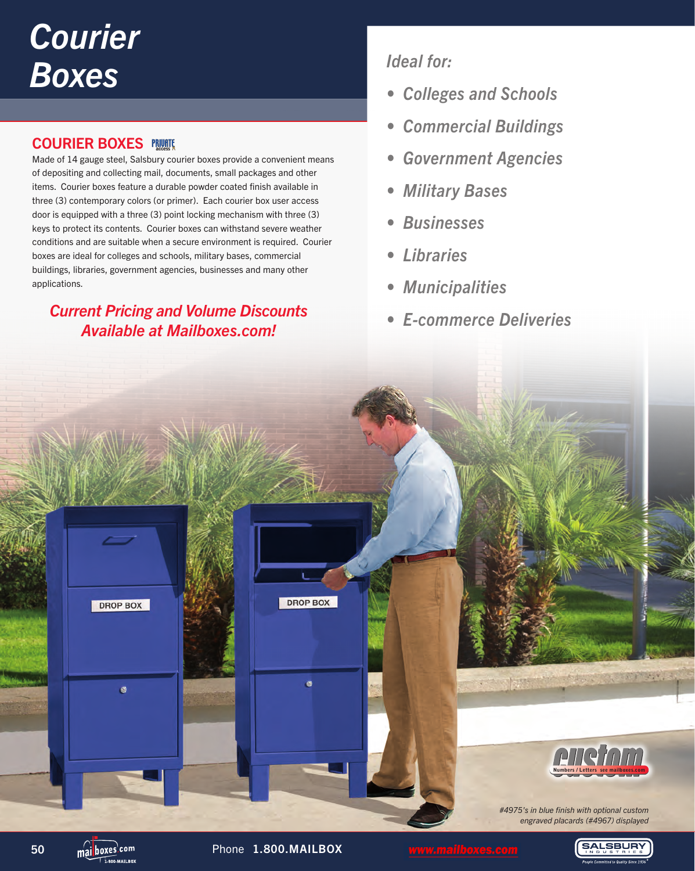## *Courier Boxes*

## **COURIER BOXES PRUNTE**

Made of 14 gauge steel, Salsbury courier boxes provide a convenient means of depositing and collecting mail, documents, small packages and other items. Courier boxes feature a durable powder coated finish available in three (3) contemporary colors (or primer). Each courier box user access door is equipped with a three (3) point locking mechanism with three (3) keys to protect its contents. Courier boxes can withstand severe weather conditions and are suitable when a secure environment is required. Courier boxes are ideal for colleges and schools, military bases, commercial buildings, libraries, government agencies, businesses and many other applications.

## *Current Pricing and Volume Discounts Available at Mailboxes.com!*

## *Ideal for:*

- *Colleges and Schools*
- *Commercial Buildings*
- *Government Agencies*
- *Military Bases*
- *Businesses*
- *Libraries*
- *Municipalities*
- *E-commerce Deliveries*



SAI SBLIRY